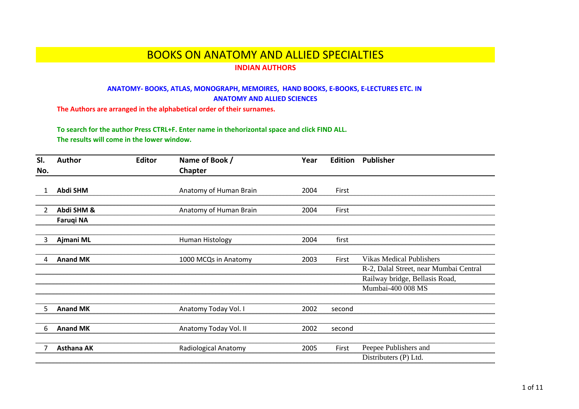## BOOKS ON ANATOMY AND ALLIED SPECIALTIES

## **INDIAN AUTHORS**

## **ANATOMY- BOOKS, ATLAS, MONOGRAPH, MEMOIRES, HAND BOOKS, E-BOOKS, E-LECTURES ETC. IN ANATOMY AND ALLIED SCIENCES**

**The Authors are arranged in the alphabetical order of their surnames.**

**To search for the author Press CTRL+F. Enter name in thehorizontal space and click FIND ALL. The results will come in the lower window.** 

| SI.         | <b>Author</b>     | <b>Editor</b> | Name of Book /         | Year |        | <b>Edition Publisher</b>               |
|-------------|-------------------|---------------|------------------------|------|--------|----------------------------------------|
| No.         |                   |               | Chapter                |      |        |                                        |
|             |                   |               |                        |      |        |                                        |
|             | Abdi SHM          |               | Anatomy of Human Brain | 2004 | First  |                                        |
|             |                   |               |                        |      |        |                                        |
| $2^{\circ}$ | Abdi SHM &        |               | Anatomy of Human Brain | 2004 | First  |                                        |
|             | <b>Faruqi NA</b>  |               |                        |      |        |                                        |
|             |                   |               |                        |      |        |                                        |
| 3           | Ajmani ML         |               | Human Histology        | 2004 | first  |                                        |
|             |                   |               |                        |      |        |                                        |
| 4           | <b>Anand MK</b>   |               | 1000 MCQs in Anatomy   | 2003 | First  | <b>Vikas Medical Publishers</b>        |
|             |                   |               |                        |      |        | R-2, Dalal Street, near Mumbai Central |
|             |                   |               |                        |      |        | Railway bridge, Bellasis Road,         |
|             |                   |               |                        |      |        | Mumbai-400 008 MS                      |
|             |                   |               |                        |      |        |                                        |
| 5.          | <b>Anand MK</b>   |               | Anatomy Today Vol. I   | 2002 | second |                                        |
|             |                   |               |                        |      |        |                                        |
| 6           | <b>Anand MK</b>   |               | Anatomy Today Vol. II  | 2002 | second |                                        |
|             |                   |               |                        |      |        |                                        |
|             | <b>Asthana AK</b> |               | Radiological Anatomy   | 2005 | First  | Peepee Publishers and                  |
|             |                   |               |                        |      |        | Distributers (P) Ltd.                  |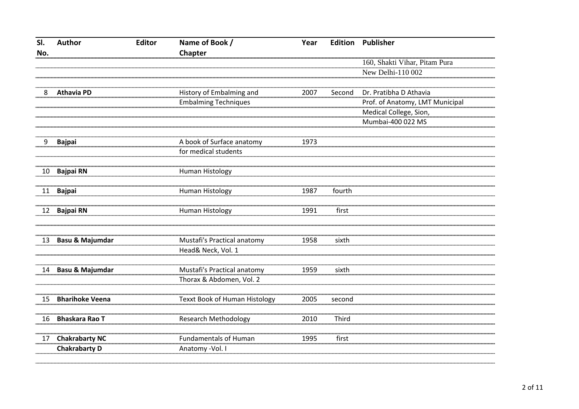| SI. | <b>Author</b>              | <b>Editor</b> | Name of Book /                | Year | <b>Edition</b> | <b>Publisher</b>                |
|-----|----------------------------|---------------|-------------------------------|------|----------------|---------------------------------|
| No. |                            |               | Chapter                       |      |                |                                 |
|     |                            |               |                               |      |                | 160, Shakti Vihar, Pitam Pura   |
|     |                            |               |                               |      |                | New Delhi-110 002               |
|     |                            |               |                               |      |                |                                 |
| 8   | <b>Athavia PD</b>          |               | History of Embalming and      | 2007 | Second         | Dr. Pratibha D Athavia          |
|     |                            |               | <b>Embalming Techniques</b>   |      |                | Prof. of Anatomy, LMT Municipal |
|     |                            |               |                               |      |                | Medical College, Sion,          |
|     |                            |               |                               |      |                | Mumbai-400 022 MS               |
|     |                            |               |                               |      |                |                                 |
| 9   | <b>Bajpai</b>              |               | A book of Surface anatomy     | 1973 |                |                                 |
|     |                            |               | for medical students          |      |                |                                 |
| 10  |                            |               |                               |      |                |                                 |
|     | <b>Bajpai RN</b>           |               | <b>Human Histology</b>        |      |                |                                 |
| 11  | <b>Bajpai</b>              |               | <b>Human Histology</b>        | 1987 | fourth         |                                 |
|     |                            |               |                               |      |                |                                 |
| 12  | <b>Bajpai RN</b>           |               | <b>Human Histology</b>        | 1991 | first          |                                 |
|     |                            |               |                               |      |                |                                 |
|     |                            |               |                               |      |                |                                 |
| 13  | <b>Basu &amp; Majumdar</b> |               | Mustafi's Practical anatomy   | 1958 | sixth          |                                 |
|     |                            |               | Head& Neck, Vol. 1            |      |                |                                 |
|     |                            |               |                               |      |                |                                 |
| 14  | <b>Basu &amp; Majumdar</b> |               | Mustafi's Practical anatomy   | 1959 | sixth          |                                 |
|     |                            |               | Thorax & Abdomen, Vol. 2      |      |                |                                 |
|     | <b>Bharihoke Veena</b>     |               |                               |      |                |                                 |
| 15  |                            |               | Texxt Book of Human Histology | 2005 | second         |                                 |
| 16  | <b>Bhaskara Rao T</b>      |               | <b>Research Methodology</b>   | 2010 | Third          |                                 |
|     |                            |               |                               |      |                |                                 |
| 17  | <b>Chakrabarty NC</b>      |               | <b>Fundamentals of Human</b>  | 1995 | first          |                                 |
|     | <b>Chakrabarty D</b>       |               | Anatomy - Vol. I              |      |                |                                 |
|     |                            |               |                               |      |                |                                 |
|     |                            |               |                               |      |                |                                 |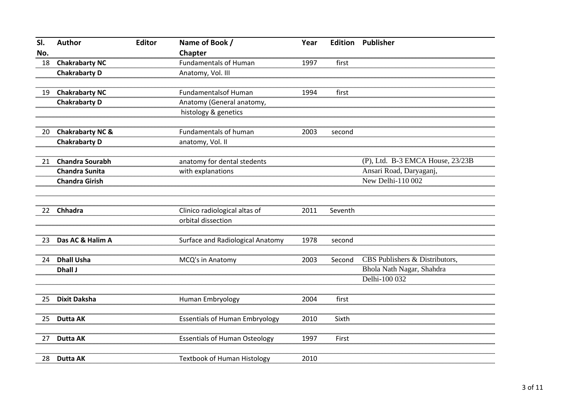| SI. | <b>Author</b>               | <b>Editor</b> | Name of Book /                          | Year | <b>Edition</b> | <b>Publisher</b>                 |
|-----|-----------------------------|---------------|-----------------------------------------|------|----------------|----------------------------------|
| No. |                             |               | Chapter                                 |      |                |                                  |
| 18  | <b>Chakrabarty NC</b>       |               | <b>Fundamentals of Human</b>            | 1997 | first          |                                  |
|     | <b>Chakrabarty D</b>        |               | Anatomy, Vol. III                       |      |                |                                  |
| 19  | <b>Chakrabarty NC</b>       |               | <b>Fundamentalsof Human</b>             | 1994 | first          |                                  |
|     | <b>Chakrabarty D</b>        |               | Anatomy (General anatomy,               |      |                |                                  |
|     |                             |               | histology & genetics                    |      |                |                                  |
| 20  | <b>Chakrabarty NC &amp;</b> |               | Fundamentals of human                   | 2003 | second         |                                  |
|     | <b>Chakrabarty D</b>        |               | anatomy, Vol. II                        |      |                |                                  |
| 21  | <b>Chandra Sourabh</b>      |               | anatomy for dental stedents             |      |                | (P), Ltd. B-3 EMCA House, 23/23B |
|     | <b>Chandra Sunita</b>       |               | with explanations                       |      |                | Ansari Road, Daryaganj,          |
|     | <b>Chandra Girish</b>       |               |                                         |      |                | New Delhi-110 002                |
|     |                             |               |                                         |      |                |                                  |
| 22  | Chhadra                     |               | Clinico radiological altas of           | 2011 | Seventh        |                                  |
|     |                             |               | orbital dissection                      |      |                |                                  |
| 23  | Das AC & Halim A            |               | <b>Surface and Radiological Anatomy</b> | 1978 | second         |                                  |
| 24  | <b>Dhall Usha</b>           |               | MCQ's in Anatomy                        | 2003 | Second         | CBS Publishers & Distributors,   |
|     | Dhall J                     |               |                                         |      |                | Bhola Nath Nagar, Shahdra        |
|     |                             |               |                                         |      |                | Delhi-100 032                    |
| 25  | <b>Dixit Daksha</b>         |               | Human Embryology                        | 2004 | first          |                                  |
|     |                             |               |                                         |      |                |                                  |
| 25  | <b>Dutta AK</b>             |               | <b>Essentials of Human Embryology</b>   | 2010 | Sixth          |                                  |
| 27  | <b>Dutta AK</b>             |               | <b>Essentials of Human Osteology</b>    | 1997 | First          |                                  |
|     |                             |               |                                         |      |                |                                  |
| 28  | <b>Dutta AK</b>             |               | <b>Textbook of Human Histology</b>      | 2010 |                |                                  |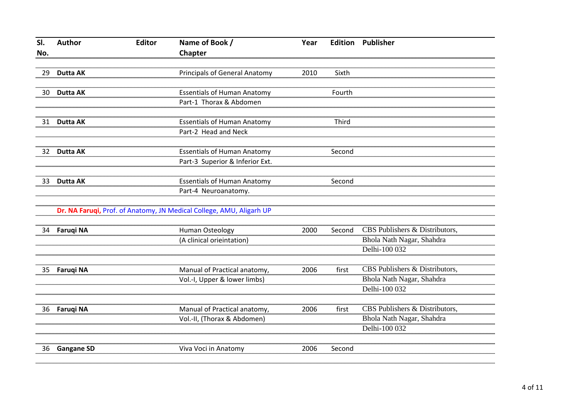| SI. | <b>Author</b>     | <b>Editor</b> | Name of Book /                                                       | Year |        | <b>Edition Publisher</b>       |
|-----|-------------------|---------------|----------------------------------------------------------------------|------|--------|--------------------------------|
| No. |                   |               | Chapter                                                              |      |        |                                |
|     |                   |               |                                                                      |      |        |                                |
| 29  | <b>Dutta AK</b>   |               | <b>Principals of General Anatomy</b>                                 | 2010 | Sixth  |                                |
|     |                   |               |                                                                      |      |        |                                |
| 30  | <b>Dutta AK</b>   |               | <b>Essentials of Human Anatomy</b>                                   |      | Fourth |                                |
|     |                   |               | Part-1 Thorax & Abdomen                                              |      |        |                                |
|     |                   |               |                                                                      |      |        |                                |
| 31  | <b>Dutta AK</b>   |               | <b>Essentials of Human Anatomy</b>                                   |      | Third  |                                |
|     |                   |               | Part-2 Head and Neck                                                 |      |        |                                |
|     |                   |               |                                                                      |      |        |                                |
| 32  | <b>Dutta AK</b>   |               | <b>Essentials of Human Anatomy</b>                                   |      | Second |                                |
|     |                   |               | Part-3 Superior & Inferior Ext.                                      |      |        |                                |
|     |                   |               |                                                                      |      |        |                                |
| 33  | <b>Dutta AK</b>   |               | <b>Essentials of Human Anatomy</b>                                   |      | Second |                                |
|     |                   |               | Part-4 Neuroanatomy.                                                 |      |        |                                |
|     |                   |               | Dr. NA Faruqi, Prof. of Anatomy, JN Medical College, AMU, Aligarh UP |      |        |                                |
|     |                   |               |                                                                      |      |        |                                |
| 34  | <b>Faruqi NA</b>  |               | Human Osteology                                                      | 2000 | Second | CBS Publishers & Distributors, |
|     |                   |               | (A clinical orieintation)                                            |      |        | Bhola Nath Nagar, Shahdra      |
|     |                   |               |                                                                      |      |        | Delhi-100 032                  |
|     |                   |               |                                                                      |      |        |                                |
| 35  | <b>Faruqi NA</b>  |               | Manual of Practical anatomy,                                         | 2006 | first  | CBS Publishers & Distributors, |
|     |                   |               | Vol.-I, Upper & lower limbs)                                         |      |        | Bhola Nath Nagar, Shahdra      |
|     |                   |               |                                                                      |      |        | Delhi-100 032                  |
|     |                   |               |                                                                      |      |        |                                |
| 36  | <b>Faruqi NA</b>  |               | Manual of Practical anatomy,                                         | 2006 | first  | CBS Publishers & Distributors, |
|     |                   |               | Vol.-II, (Thorax & Abdomen)                                          |      |        | Bhola Nath Nagar, Shahdra      |
|     |                   |               |                                                                      |      |        | Delhi-100 032                  |
|     |                   |               |                                                                      |      |        |                                |
| 36  | <b>Gangane SD</b> |               | Viva Voci in Anatomy                                                 | 2006 | Second |                                |
|     |                   |               |                                                                      |      |        |                                |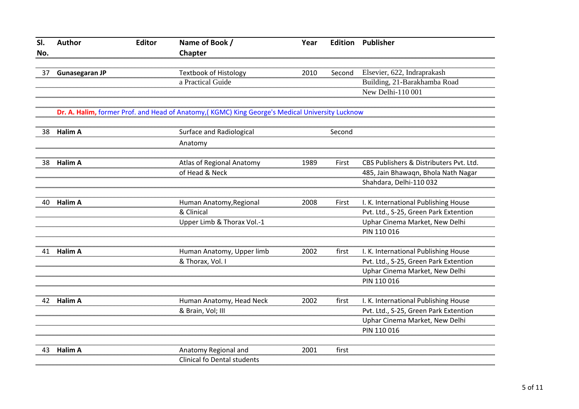| SI. | <b>Author</b>         | <b>Editor</b> | Name of Book /                                                                                  | Year | <b>Edition</b> | Publisher                               |
|-----|-----------------------|---------------|-------------------------------------------------------------------------------------------------|------|----------------|-----------------------------------------|
| No. |                       |               | Chapter                                                                                         |      |                |                                         |
|     |                       |               |                                                                                                 |      |                |                                         |
| 37  | <b>Gunasegaran JP</b> |               | <b>Textbook of Histology</b>                                                                    | 2010 | Second         | Elsevier, 622, Indraprakash             |
|     |                       |               | a Practical Guide                                                                               |      |                | Building, 21-Barakhamba Road            |
|     |                       |               |                                                                                                 |      |                | New Delhi-110 001                       |
|     |                       |               | Dr. A. Halim, former Prof. and Head of Anatomy, (KGMC) King George's Medical University Lucknow |      |                |                                         |
| 38  | <b>Halim A</b>        |               | Surface and Radiological                                                                        |      | Second         |                                         |
|     |                       |               | Anatomy                                                                                         |      |                |                                         |
| 38  | Halim A               |               | Atlas of Regional Anatomy                                                                       | 1989 | First          | CBS Publishers & Distributers Pvt. Ltd. |
|     |                       |               | of Head & Neck                                                                                  |      |                | 485, Jain Bhawaqn, Bhola Nath Nagar     |
|     |                       |               |                                                                                                 |      |                | Shahdara, Delhi-110 032                 |
|     |                       |               |                                                                                                 |      |                |                                         |
| 40  | <b>Halim A</b>        |               | Human Anatomy, Regional                                                                         | 2008 | First          | I. K. International Publishing House    |
|     |                       |               | & Clinical                                                                                      |      |                | Pvt. Ltd., S-25, Green Park Extention   |
|     |                       |               | Upper Limb & Thorax Vol.-1                                                                      |      |                | Uphar Cinema Market, New Delhi          |
|     |                       |               |                                                                                                 |      |                | PIN 110 016                             |
| 41  | <b>Halim A</b>        |               | Human Anatomy, Upper limb                                                                       | 2002 | first          | I. K. International Publishing House    |
|     |                       |               | & Thorax, Vol. I                                                                                |      |                | Pvt. Ltd., S-25, Green Park Extention   |
|     |                       |               |                                                                                                 |      |                | Uphar Cinema Market, New Delhi          |
|     |                       |               |                                                                                                 |      |                | PIN 110 016                             |
|     |                       |               |                                                                                                 |      |                |                                         |
| 42  | <b>Halim A</b>        |               | Human Anatomy, Head Neck                                                                        | 2002 | first          | I. K. International Publishing House    |
|     |                       |               | & Brain, Vol; III                                                                               |      |                | Pvt. Ltd., S-25, Green Park Extention   |
|     |                       |               |                                                                                                 |      |                | Uphar Cinema Market, New Delhi          |
|     |                       |               |                                                                                                 |      |                | PIN 110 016                             |
| 43  | <b>Halim A</b>        |               | Anatomy Regional and                                                                            | 2001 | first          |                                         |
|     |                       |               | <b>Clinical fo Dental students</b>                                                              |      |                |                                         |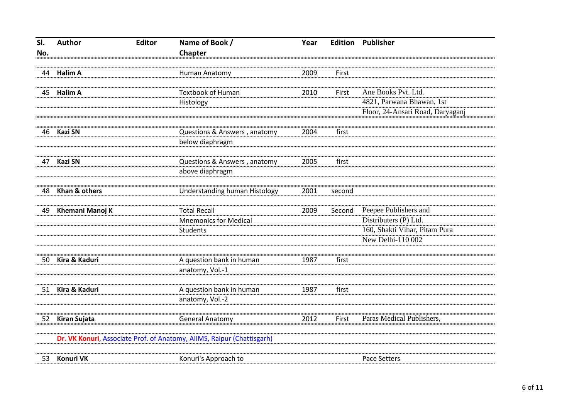| SI. | Author           | <b>Editor</b> | Name of Book /                                                         | Year |        | <b>Edition Publisher</b>         |
|-----|------------------|---------------|------------------------------------------------------------------------|------|--------|----------------------------------|
| No. |                  |               | Chapter                                                                |      |        |                                  |
|     |                  |               |                                                                        |      |        |                                  |
| 44  | <b>Halim A</b>   |               | Human Anatomy                                                          | 2009 | First  |                                  |
|     |                  |               |                                                                        |      |        |                                  |
| 45  | <b>Halim A</b>   |               | <b>Textbook of Human</b>                                               | 2010 | First  | Ane Books Pvt. Ltd.              |
|     |                  |               | Histology                                                              |      |        | 4821, Parwana Bhawan, 1st        |
|     |                  |               |                                                                        |      |        | Floor, 24-Ansari Road, Daryaganj |
|     |                  |               |                                                                        |      |        |                                  |
| 46  | <b>Kazi SN</b>   |               | Questions & Answers, anatomy                                           | 2004 | first  |                                  |
|     |                  |               | below diaphragm                                                        |      |        |                                  |
|     |                  |               |                                                                        |      |        |                                  |
| 47  | <b>Kazi SN</b>   |               | Questions & Answers, anatomy                                           | 2005 | first  |                                  |
|     |                  |               | above diaphragm                                                        |      |        |                                  |
|     |                  |               |                                                                        |      |        |                                  |
| 48  | Khan & others    |               | Understanding human Histology                                          | 2001 | second |                                  |
|     |                  |               |                                                                        |      |        |                                  |
| 49  | Khemani Manoj K  |               | <b>Total Recall</b>                                                    | 2009 | Second | Peepee Publishers and            |
|     |                  |               | <b>Mnemonics for Medical</b>                                           |      |        | Distributers (P) Ltd.            |
|     |                  |               | Students                                                               |      |        | 160, Shakti Vihar, Pitam Pura    |
|     |                  |               |                                                                        |      |        | New Delhi-110 002                |
|     |                  |               |                                                                        |      |        |                                  |
| 50  | Kira & Kaduri    |               | A question bank in human                                               | 1987 | first  |                                  |
|     |                  |               | anatomy, Vol.-1                                                        |      |        |                                  |
|     |                  |               |                                                                        |      |        |                                  |
| 51  | Kira & Kaduri    |               | A question bank in human                                               | 1987 | first  |                                  |
|     |                  |               | anatomy, Vol.-2                                                        |      |        |                                  |
|     |                  |               |                                                                        |      |        |                                  |
| 52  | Kiran Sujata     |               | <b>General Anatomy</b>                                                 | 2012 | First  | Paras Medical Publishers,        |
|     |                  |               |                                                                        |      |        |                                  |
|     |                  |               | Dr. VK Konuri, Associate Prof. of Anatomy, AllMS, Raipur (Chattisgarh) |      |        |                                  |
|     |                  |               |                                                                        |      |        |                                  |
| 53  | <b>Konuri VK</b> |               | Konuri's Approach to                                                   |      |        | <b>Pace Setters</b>              |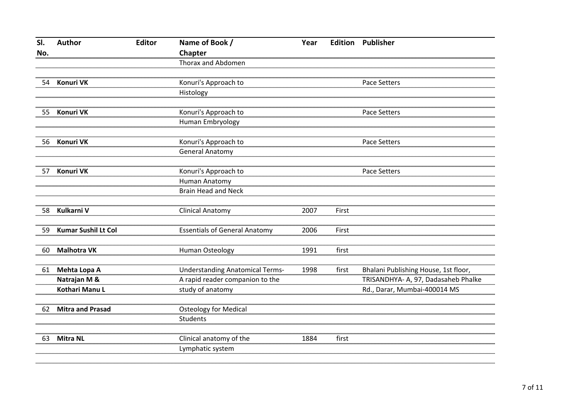| SI. | <b>Author</b>              | <b>Editor</b> | Name of Book /                                  | Year | <b>Edition</b> | Publisher                            |
|-----|----------------------------|---------------|-------------------------------------------------|------|----------------|--------------------------------------|
| No. |                            |               | Chapter                                         |      |                |                                      |
|     |                            |               | Thorax and Abdomen                              |      |                |                                      |
| 54  | <b>Konuri VK</b>           |               | Konuri's Approach to                            |      |                | Pace Setters                         |
|     |                            |               | Histology                                       |      |                |                                      |
| 55  | <b>Konuri VK</b>           |               | Konuri's Approach to                            |      |                | <b>Pace Setters</b>                  |
|     |                            |               | Human Embryology                                |      |                |                                      |
| 56  | <b>Konuri VK</b>           |               | Konuri's Approach to                            |      |                | <b>Pace Setters</b>                  |
|     |                            |               | <b>General Anatomy</b>                          |      |                |                                      |
| 57  | <b>Konuri VK</b>           |               | Konuri's Approach to                            |      |                | <b>Pace Setters</b>                  |
|     |                            |               | Human Anatomy                                   |      |                |                                      |
|     |                            |               | <b>Brain Head and Neck</b>                      |      |                |                                      |
| 58  | Kulkarni V                 |               | <b>Clinical Anatomy</b>                         | 2007 | First          |                                      |
| 59  | <b>Kumar Sushil Lt Col</b> |               | <b>Essentials of General Anatomy</b>            | 2006 | First          |                                      |
| 60  | <b>Malhotra VK</b>         |               | Human Osteology                                 | 1991 | first          |                                      |
| 61  | Mehta Lopa A               |               | <b>Understanding Anatomical Terms-</b>          | 1998 | first          | Bhalani Publishing House, 1st floor, |
|     | Natrajan M &               |               | A rapid reader companion to the                 |      |                | TRISANDHYA- A, 97, Dadasaheb Phalke  |
|     | Kothari Manu L             |               | study of anatomy                                |      |                | Rd., Darar, Mumbai-400014 MS         |
| 62  | <b>Mitra and Prasad</b>    |               | <b>Osteology for Medical</b><br><b>Students</b> |      |                |                                      |
| 63  | <b>Mitra NL</b>            |               | Clinical anatomy of the<br>Lymphatic system     | 1884 | first          |                                      |
|     |                            |               |                                                 |      |                |                                      |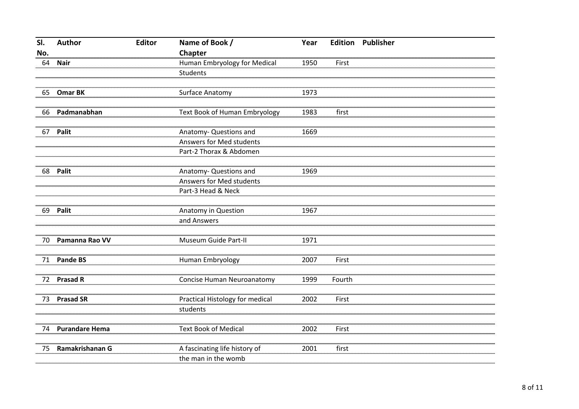| SI. | Author                | <b>Editor</b> | Name of Book /                  | Year |        | <b>Edition Publisher</b> |
|-----|-----------------------|---------------|---------------------------------|------|--------|--------------------------|
| No. |                       |               | Chapter                         |      |        |                          |
| 64  | <b>Nair</b>           |               | Human Embryology for Medical    | 1950 | First  |                          |
|     |                       |               | Students                        |      |        |                          |
|     |                       |               |                                 |      |        |                          |
| 65  | <b>Omar BK</b>        |               | Surface Anatomy                 | 1973 |        |                          |
|     |                       |               |                                 |      |        |                          |
| 66  | Padmanabhan           |               | Text Book of Human Embryology   | 1983 | first  |                          |
|     |                       |               |                                 |      |        |                          |
| 67  | Palit                 |               | Anatomy- Questions and          | 1669 |        |                          |
|     |                       |               | Answers for Med students        |      |        |                          |
|     |                       |               | Part-2 Thorax & Abdomen         |      |        |                          |
|     |                       |               |                                 |      |        |                          |
| 68  | Palit                 |               | Anatomy- Questions and          | 1969 |        |                          |
|     |                       |               | Answers for Med students        |      |        |                          |
|     |                       |               | Part-3 Head & Neck              |      |        |                          |
|     |                       |               |                                 |      |        |                          |
| 69  | Palit                 |               | Anatomy in Question             | 1967 |        |                          |
|     |                       |               | and Answers                     |      |        |                          |
|     |                       |               |                                 |      |        |                          |
| 70  | Pamanna Rao VV        |               | Museum Guide Part-II            | 1971 |        |                          |
|     |                       |               |                                 |      |        |                          |
| 71  | <b>Pande BS</b>       |               | Human Embryology                | 2007 | First  |                          |
|     | <b>Prasad R</b>       |               |                                 |      |        |                          |
| 72  |                       |               | Concise Human Neuroanatomy      | 1999 | Fourth |                          |
| 73  | <b>Prasad SR</b>      |               | Practical Histology for medical | 2002 | First  |                          |
|     |                       |               | students                        |      |        |                          |
|     |                       |               |                                 |      |        |                          |
| 74  | <b>Purandare Hema</b> |               | <b>Text Book of Medical</b>     | 2002 | First  |                          |
|     |                       |               |                                 |      |        |                          |
| 75  | Ramakrishanan G       |               | A fascinating life history of   | 2001 | first  |                          |
|     |                       |               | the man in the womb             |      |        |                          |
|     |                       |               |                                 |      |        |                          |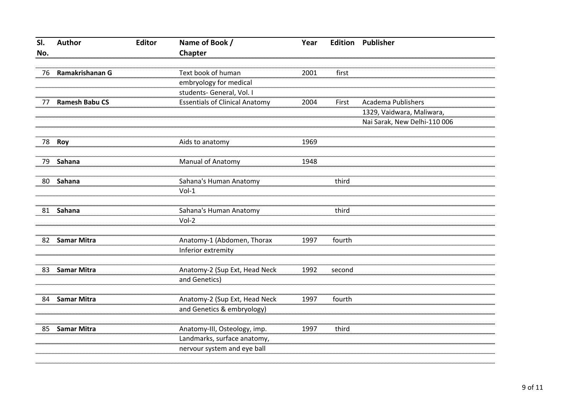| SI. | <b>Author</b>         | <b>Editor</b> | Name of Book /                                   | Year |        | <b>Edition Publisher</b>     |
|-----|-----------------------|---------------|--------------------------------------------------|------|--------|------------------------------|
| No. |                       |               | Chapter                                          |      |        |                              |
|     |                       |               |                                                  |      |        |                              |
| 76  | Ramakrishanan G       |               | Text book of human                               | 2001 | first  |                              |
|     |                       |               | embryology for medical                           |      |        |                              |
|     |                       |               | students- General, Vol. I                        |      |        |                              |
| 77  | <b>Ramesh Babu CS</b> |               | <b>Essentials of Clinical Anatomy</b>            | 2004 | First  | <b>Academa Publishers</b>    |
|     |                       |               |                                                  |      |        | 1329, Vaidwara, Maliwara,    |
|     |                       |               |                                                  |      |        | Nai Sarak, New Delhi-110 006 |
|     |                       |               |                                                  |      |        |                              |
| 78  | Roy                   |               | Aids to anatomy                                  | 1969 |        |                              |
|     |                       |               |                                                  |      |        |                              |
| 79  | Sahana                |               | Manual of Anatomy                                | 1948 |        |                              |
|     |                       |               |                                                  |      |        |                              |
| 80  | Sahana                |               | Sahana's Human Anatomy                           |      | third  |                              |
|     |                       |               | $Vol-1$                                          |      |        |                              |
|     |                       |               |                                                  |      |        |                              |
| 81  | Sahana                |               | Sahana's Human Anatomy                           |      | third  |                              |
|     |                       |               | Vol-2                                            |      |        |                              |
|     |                       |               |                                                  |      |        |                              |
| 82  | <b>Samar Mitra</b>    |               | Anatomy-1 (Abdomen, Thorax<br>Inferior extremity | 1997 | fourth |                              |
|     |                       |               |                                                  |      |        |                              |
| 83  | <b>Samar Mitra</b>    |               | Anatomy-2 (Sup Ext, Head Neck                    | 1992 | second |                              |
|     |                       |               | and Genetics)                                    |      |        |                              |
|     |                       |               |                                                  |      |        |                              |
| 84  | <b>Samar Mitra</b>    |               | Anatomy-2 (Sup Ext, Head Neck                    | 1997 | fourth |                              |
|     |                       |               | and Genetics & embryology)                       |      |        |                              |
|     |                       |               |                                                  |      |        |                              |
| 85  | <b>Samar Mitra</b>    |               | Anatomy-III, Osteology, imp.                     | 1997 | third  |                              |
|     |                       |               | Landmarks, surface anatomy,                      |      |        |                              |
|     |                       |               | nervour system and eye ball                      |      |        |                              |
|     |                       |               |                                                  |      |        |                              |
|     |                       |               |                                                  |      |        |                              |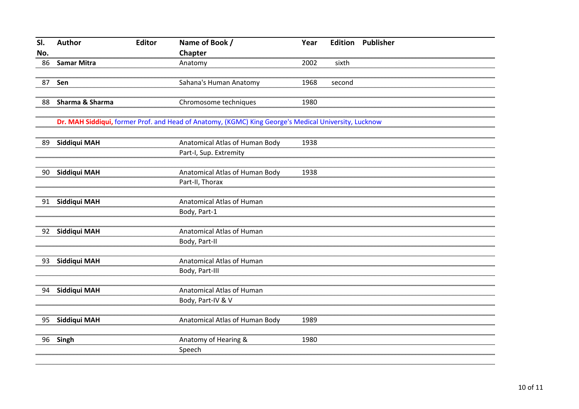| SI. | Author             | <b>Editor</b> | Name of Book /                                                                                       | Year |        | <b>Edition Publisher</b> |
|-----|--------------------|---------------|------------------------------------------------------------------------------------------------------|------|--------|--------------------------|
| No. |                    |               | Chapter                                                                                              |      |        |                          |
| 86  | <b>Samar Mitra</b> |               | Anatomy                                                                                              | 2002 | sixth  |                          |
|     |                    |               |                                                                                                      |      |        |                          |
| 87  | Sen                |               | Sahana's Human Anatomy                                                                               | 1968 | second |                          |
|     |                    |               |                                                                                                      |      |        |                          |
| 88  | Sharma & Sharma    |               | Chromosome techniques                                                                                | 1980 |        |                          |
|     |                    |               |                                                                                                      |      |        |                          |
|     |                    |               | Dr. MAH Siddiqui, former Prof. and Head of Anatomy, (KGMC) King George's Medical University, Lucknow |      |        |                          |
|     |                    |               |                                                                                                      |      |        |                          |
| 89  | Siddiqui MAH       |               | Anatomical Atlas of Human Body                                                                       | 1938 |        |                          |
|     |                    |               | Part-I, Sup. Extremity                                                                               |      |        |                          |
|     |                    |               |                                                                                                      |      |        |                          |
| 90  | Siddiqui MAH       |               | Anatomical Atlas of Human Body                                                                       | 1938 |        |                          |
|     |                    |               | Part-II, Thorax                                                                                      |      |        |                          |
| 91  | Siddiqui MAH       |               | Anatomical Atlas of Human                                                                            |      |        |                          |
|     |                    |               | Body, Part-1                                                                                         |      |        |                          |
|     |                    |               |                                                                                                      |      |        |                          |
| 92  | Siddiqui MAH       |               | Anatomical Atlas of Human                                                                            |      |        |                          |
|     |                    |               | Body, Part-II                                                                                        |      |        |                          |
|     |                    |               |                                                                                                      |      |        |                          |
| 93  | Siddiqui MAH       |               | Anatomical Atlas of Human                                                                            |      |        |                          |
|     |                    |               | Body, Part-III                                                                                       |      |        |                          |
|     |                    |               |                                                                                                      |      |        |                          |
| 94  | Siddiqui MAH       |               | Anatomical Atlas of Human                                                                            |      |        |                          |
|     |                    |               | Body, Part-IV & V                                                                                    |      |        |                          |
|     |                    |               |                                                                                                      |      |        |                          |
| 95  | Siddiqui MAH       |               | Anatomical Atlas of Human Body                                                                       | 1989 |        |                          |
|     |                    |               |                                                                                                      |      |        |                          |
| 96  | Singh              |               | Anatomy of Hearing &                                                                                 | 1980 |        |                          |
|     |                    |               | Speech                                                                                               |      |        |                          |
|     |                    |               |                                                                                                      |      |        |                          |